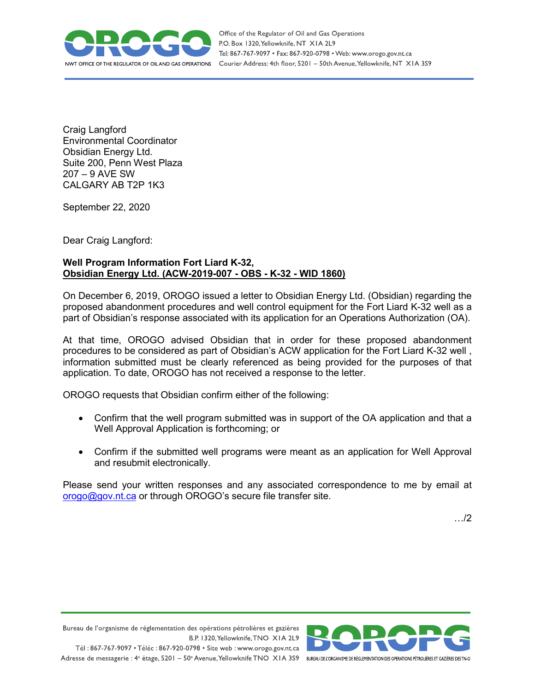

Office of the Regulator of Oil and Gas Operations P.O. Box 1320, Yellowknife, NT XIA 2L9 Tel: 867-767-9097 • Fax: 867-920-0798 • Web: www.orogo.gov.nt.ca Courier Address: 4th floor, 5201 - 50th Avenue, Yellowknife, NT XIA 3S9

Craig Langford Environmental Coordinator Obsidian Energy Ltd. Suite 200, Penn West Plaza 207 – 9 AVE SW CALGARY AB T2P 1K3

September 22, 2020

Dear Craig Langford:

## **Well Program Information Fort Liard K-32, Obsidian Energy Ltd. (ACW-2019-007 - OBS - K-32 - WID 1860)**

On December 6, 2019, OROGO issued a letter to Obsidian Energy Ltd. (Obsidian) regarding the proposed abandonment procedures and well control equipment for the Fort Liard K-32 well as a part of Obsidian's response associated with its application for an Operations Authorization (OA).

At that time, OROGO advised Obsidian that in order for these proposed abandonment procedures to be considered as part of Obsidian's ACW application for the Fort Liard K-32 well , information submitted must be clearly referenced as being provided for the purposes of that application. To date, OROGO has not received a response to the letter.

OROGO requests that Obsidian confirm either of the following:

- Confirm that the well program submitted was in support of the OA application and that a Well Approval Application is forthcoming; or
- Confirm if the submitted well programs were meant as an application for Well Approval and resubmit electronically.

Please send your written responses and any associated correspondence to me by email at [orogo@gov.nt.ca](mailto:orogo@gov.nt.ca) or through OROGO's secure file transfer site.

…/2

Bureau de l'organisme de réglementation des opérations pétrolières et gazières B.P. 1320, Yellowknife, TNO XIA 2L9 Tél: 867-767-9097 • Téléc: 867-920-0798 • Site web: www.orogo.gov.nt.ca



Adresse de messagerie : 4<sup>e</sup> étage, 5201 - 50° Avenue, Yellowknife TNO XIA 3S9 BUREAU DEL'ORGANISME DE RÉGLEMENTATION DES OPERATIONS PÉTROLIÈRES ET GAZIÈRES DESTNO